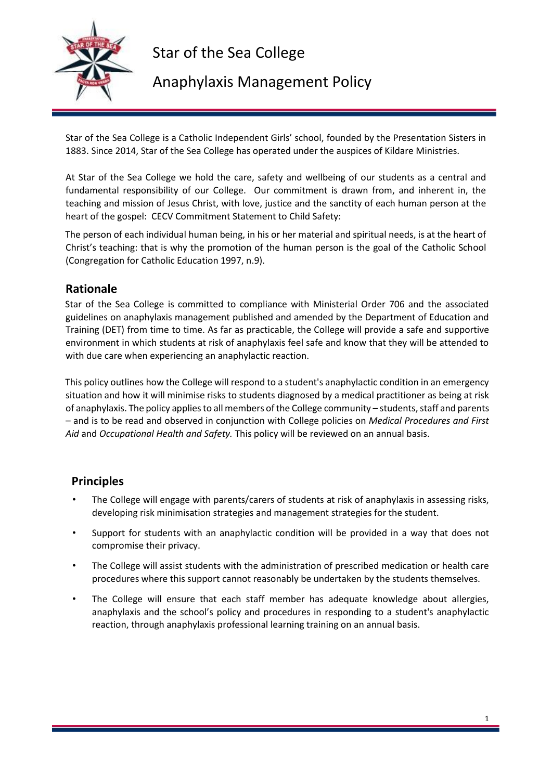

## Anaphylaxis Management Policy

Star of the Sea College is a Catholic Independent Girls' school, founded by the Presentation Sisters in 1883. Since 2014, Star of the Sea College has operated under the auspices of Kildare Ministries.

At Star of the Sea College we hold the care, safety and wellbeing of our students as a central and fundamental responsibility of our College. Our commitment is drawn from, and inherent in, the teaching and mission of Jesus Christ, with love, justice and the sanctity of each human person at the heart of the gospel: CECV Commitment Statement to Child Safety:

The person of each individual human being, in his or her material and spiritual needs, is at the heart of Christ's teaching: that is why the promotion of the human person is the goal of the Catholic School (Congregation for Catholic Education 1997, n.9).

### **Rationale**

Star of the Sea College is committed to compliance with Ministerial Order 706 and the associated guidelines on anaphylaxis management published and amended by the Department of Education and Training (DET) from time to time. As far as practicable, the College will provide a safe and supportive environment in which students at risk of anaphylaxis feel safe and know that they will be attended to with due care when experiencing an anaphylactic reaction.

This policy outlines how the College will respond to a student's anaphylactic condition in an emergency situation and how it will minimise risks to students diagnosed by a medical practitioner as being at risk of anaphylaxis. The policy applies to all members of the College community – students, staff and parents – and is to be read and observed in conjunction with College policies on *Medical Procedures and First Aid* and *Occupational Health and Safety.* This policy will be reviewed on an annual basis.

## **Principles**

- The College will engage with parents/carers of students at risk of anaphylaxis in assessing risks, developing risk minimisation strategies and management strategies for the student.
- Support for students with an anaphylactic condition will be provided in a way that does not compromise their privacy.
- The College will assist students with the administration of prescribed medication or health care procedures where this support cannot reasonably be undertaken by the students themselves.
- The College will ensure that each staff member has adequate knowledge about allergies, anaphylaxis and the school's policy and procedures in responding to a student's anaphylactic reaction, through anaphylaxis professional learning training on an annual basis.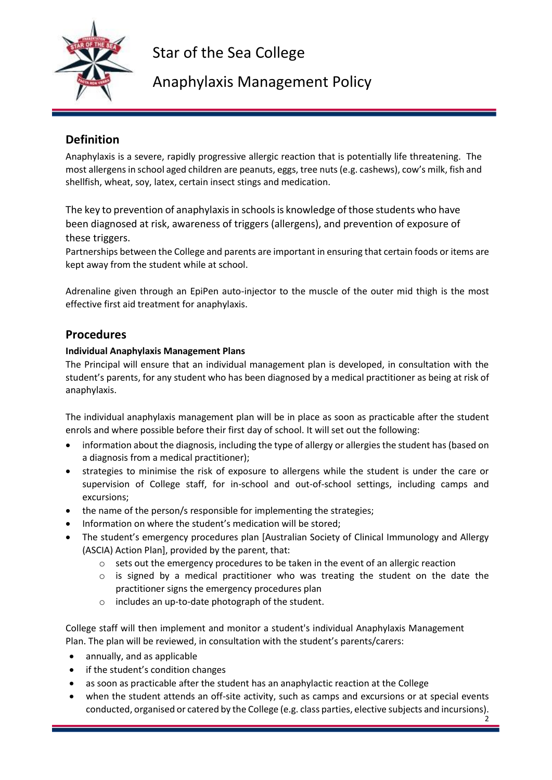

Anaphylaxis Management Policy

## **Definition**

Anaphylaxis is a severe, rapidly progressive allergic reaction that is potentially life threatening. The most allergens in school aged children are peanuts, eggs, tree nuts (e.g. cashews), cow's milk, fish and shellfish, wheat, soy, latex, certain insect stings and medication.

The key to prevention of anaphylaxis in schools is knowledge of those students who have been diagnosed at risk, awareness of triggers (allergens), and prevention of exposure of these triggers.

Partnerships between the College and parents are important in ensuring that certain foods or items are kept away from the student while at school.

Adrenaline given through an EpiPen auto-injector to the muscle of the outer mid thigh is the most effective first aid treatment for anaphylaxis.

## **Procedures**

### **Individual Anaphylaxis Management Plans**

The Principal will ensure that an individual management plan is developed, in consultation with the student's parents, for any student who has been diagnosed by a medical practitioner as being at risk of anaphylaxis.

The individual anaphylaxis management plan will be in place as soon as practicable after the student enrols and where possible before their first day of school. It will set out the following:

- information about the diagnosis, including the type of allergy or allergies the student has (based on a diagnosis from a medical practitioner);
- strategies to minimise the risk of exposure to allergens while the student is under the care or supervision of College staff, for in-school and out-of-school settings, including camps and excursions;
- the name of the person/s responsible for implementing the strategies;
- Information on where the student's medication will be stored;
- The student's emergency procedures plan [Australian Society of Clinical Immunology and Allergy (ASCIA) Action Plan], provided by the parent, that:
	- $\circ$  sets out the emergency procedures to be taken in the event of an allergic reaction
	- $\circ$  is signed by a medical practitioner who was treating the student on the date the practitioner signs the emergency procedures plan
	- o includes an up-to-date photograph of the student.

College staff will then implement and monitor a student's individual Anaphylaxis Management Plan. The plan will be reviewed, in consultation with the student's parents/carers:

- annually, and as applicable
- if the student's condition changes
- as soon as practicable after the student has an anaphylactic reaction at the College
- when the student attends an off-site activity, such as camps and excursions or at special events conducted, organised or catered by the College (e.g. class parties, elective subjects and incursions).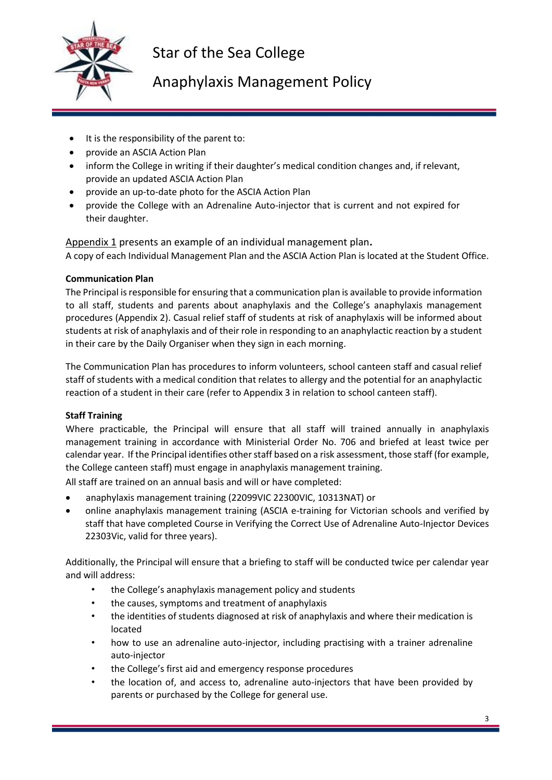

## Anaphylaxis Management Policy

- It is the responsibility of the parent to:
- provide an ASCIA Action Plan
- inform the College in writing if their daughter's medical condition changes and, if relevant, provide an updated ASCIA Action Plan
- provide an up-to-date photo for the ASCIA Action Plan
- provide the College with an Adrenaline Auto-injector that is current and not expired for their daughter.

Appendix 1 presents an example of an individual management plan**.**  A copy of each Individual Management Plan and the ASCIA Action Plan is located at the Student Office.

### **Communication Plan**

The Principal is responsible for ensuring that a communication plan is available to provide information to all staff, students and parents about anaphylaxis and the College's anaphylaxis management procedures (Appendix 2). Casual relief staff of students at risk of anaphylaxis will be informed about students at risk of anaphylaxis and of their role in responding to an anaphylactic reaction by a student in their care by the Daily Organiser when they sign in each morning.

The Communication Plan has procedures to inform volunteers, school canteen staff and casual relief staff of students with a medical condition that relates to allergy and the potential for an anaphylactic reaction of a student in their care (refer to Appendix 3 in relation to school canteen staff).

### **Staff Training**

Where practicable, the Principal will ensure that all staff will trained annually in anaphylaxis management training in accordance with Ministerial Order No. 706 and briefed at least twice per calendar year. If the Principal identifies other staff based on a risk assessment, those staff (for example, the College canteen staff) must engage in anaphylaxis management training.

All staff are trained on an annual basis and will or have completed:

- anaphylaxis management training (22099VIC 22300VIC, 10313NAT) or
- online anaphylaxis management training (ASCIA e-training for Victorian schools and verified by staff that have completed Course in Verifying the Correct Use of Adrenaline Auto-Injector Devices 22303Vic, valid for three years).

Additionally, the Principal will ensure that a briefing to staff will be conducted twice per calendar year and will address:

- the College's anaphylaxis management policy and students
- the causes, symptoms and treatment of anaphylaxis
- the identities of students diagnosed at risk of anaphylaxis and where their medication is located
- how to use an adrenaline auto-injector, including practising with a trainer adrenaline auto-injector
- the College's first aid and emergency response procedures
- the location of, and access to, adrenaline auto-injectors that have been provided by parents or purchased by the College for general use.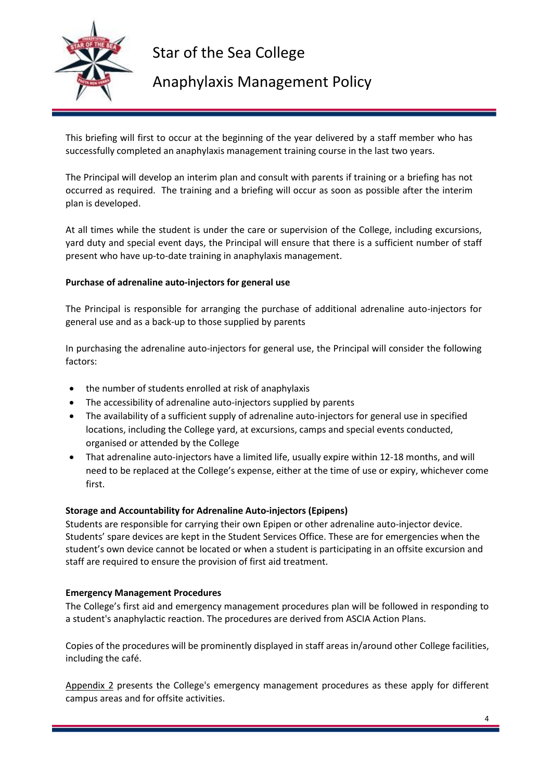

## Anaphylaxis Management Policy

This briefing will first to occur at the beginning of the year delivered by a staff member who has successfully completed an anaphylaxis management training course in the last two years.

The Principal will develop an interim plan and consult with parents if training or a briefing has not occurred as required. The training and a briefing will occur as soon as possible after the interim plan is developed.

At all times while the student is under the care or supervision of the College, including excursions, yard duty and special event days, the Principal will ensure that there is a sufficient number of staff present who have up-to-date training in anaphylaxis management.

#### **Purchase of adrenaline auto-injectors for general use**

The Principal is responsible for arranging the purchase of additional adrenaline auto-injectors for general use and as a back-up to those supplied by parents

In purchasing the adrenaline auto-injectors for general use, the Principal will consider the following factors:

- the number of students enrolled at risk of anaphylaxis
- The accessibility of adrenaline auto-injectors supplied by parents
- The availability of a sufficient supply of adrenaline auto-injectors for general use in specified locations, including the College yard, at excursions, camps and special events conducted, organised or attended by the College
- That adrenaline auto-injectors have a limited life, usually expire within 12-18 months, and will need to be replaced at the College's expense, either at the time of use or expiry, whichever come first.

#### **Storage and Accountability for Adrenaline Auto-injectors (Epipens)**

Students are responsible for carrying their own Epipen or other adrenaline auto-injector device. Students' spare devices are kept in the Student Services Office. These are for emergencies when the student's own device cannot be located or when a student is participating in an offsite excursion and staff are required to ensure the provision of first aid treatment.

#### **Emergency Management Procedures**

The College's first aid and emergency management procedures plan will be followed in responding to a student's anaphylactic reaction. The procedures are derived from ASCIA Action Plans.

Copies of the procedures will be prominently displayed in staff areas in/around other College facilities, including the café.

Appendix 2 presents the College's emergency management procedures as these apply for different campus areas and for offsite activities.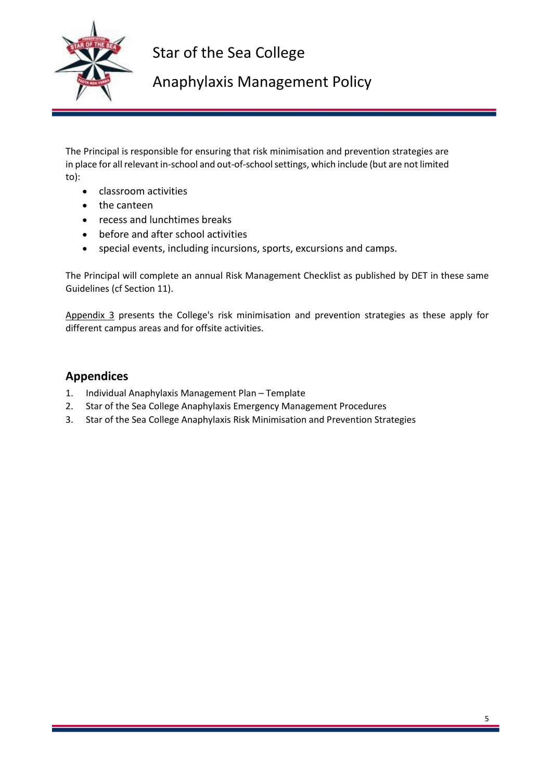

Anaphylaxis Management Policy

The Principal is responsible for ensuring that risk minimisation and prevention strategies are in place for all relevant in-school and out-of-school settings, which include (but are not limited to):

- classroom activities
- the canteen
- recess and lunchtimes breaks
- before and after school activities
- special events, including incursions, sports, excursions and camps.

The Principal will complete an annual Risk Management Checklist as published by DET in these same Guidelines (cf Section 11).

Appendix 3 presents the College's risk minimisation and prevention strategies as these apply for different campus areas and for offsite activities.

### **Appendices**

- 1. Individual Anaphylaxis Management Plan Template
- 2. Star of the Sea College Anaphylaxis Emergency Management Procedures
- 3. Star of the Sea College Anaphylaxis Risk Minimisation and Prevention Strategies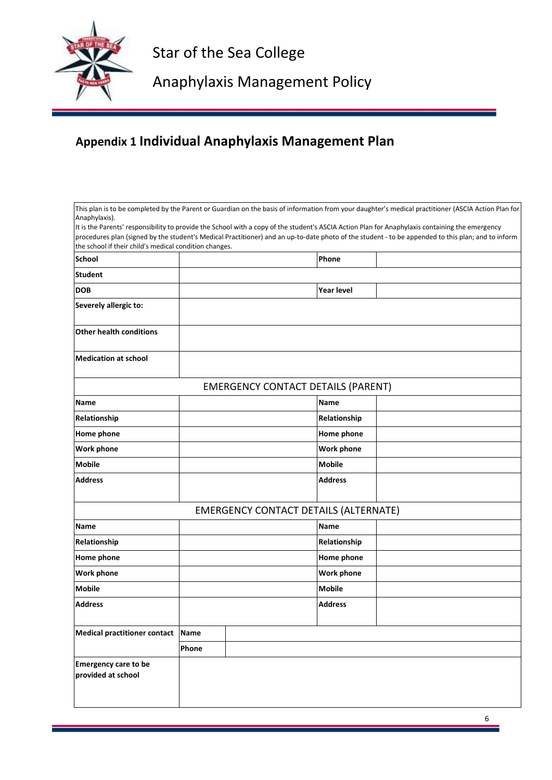

Anaphylaxis Management Policy

## **Appendix 1 Individual Anaphylaxis Management Plan**

| Anaphylaxis).                                          |       |                                              |                   | This plan is to be completed by the Parent or Guardian on the basis of information from your daughter's medical practitioner (ASCIA Action Plan for |
|--------------------------------------------------------|-------|----------------------------------------------|-------------------|-----------------------------------------------------------------------------------------------------------------------------------------------------|
|                                                        |       |                                              |                   | It is the Parents' responsibility to provide the School with a copy of the student's ASCIA Action Plan for Anaphylaxis containing the emergency     |
|                                                        |       |                                              |                   | procedures plan (signed by the student's Medical Practitioner) and an up-to-date photo of the student - to be appended to this plan; and to inform  |
| the school if their child's medical condition changes. |       |                                              |                   |                                                                                                                                                     |
| <b>School</b>                                          |       |                                              | Phone             |                                                                                                                                                     |
| <b>Student</b>                                         |       |                                              |                   |                                                                                                                                                     |
| <b>DOB</b>                                             |       |                                              | <b>Year level</b> |                                                                                                                                                     |
| Severely allergic to:                                  |       |                                              |                   |                                                                                                                                                     |
| <b>Other health conditions</b>                         |       |                                              |                   |                                                                                                                                                     |
| <b>Medication at school</b>                            |       |                                              |                   |                                                                                                                                                     |
|                                                        |       | <b>EMERGENCY CONTACT DETAILS (PARENT)</b>    |                   |                                                                                                                                                     |
| Name                                                   |       |                                              | <b>Name</b>       |                                                                                                                                                     |
| Relationship                                           |       |                                              | Relationship      |                                                                                                                                                     |
| Home phone                                             |       |                                              | <b>Home phone</b> |                                                                                                                                                     |
| <b>Work phone</b>                                      |       |                                              | <b>Work phone</b> |                                                                                                                                                     |
| <b>Mobile</b>                                          |       |                                              | <b>Mobile</b>     |                                                                                                                                                     |
| <b>Address</b>                                         |       |                                              | <b>Address</b>    |                                                                                                                                                     |
|                                                        |       | <b>EMERGENCY CONTACT DETAILS (ALTERNATE)</b> |                   |                                                                                                                                                     |
| Name                                                   |       |                                              | <b>Name</b>       |                                                                                                                                                     |
| Relationship                                           |       |                                              | Relationship      |                                                                                                                                                     |
| Home phone                                             |       |                                              | Home phone        |                                                                                                                                                     |
| <b>Work phone</b>                                      |       |                                              | <b>Work phone</b> |                                                                                                                                                     |
| <b>Mobile</b>                                          |       |                                              | <b>Mobile</b>     |                                                                                                                                                     |
| <b>Address</b>                                         |       |                                              | <b>Address</b>    |                                                                                                                                                     |
| <b>Medical practitioner contact</b>                    | Name  |                                              |                   |                                                                                                                                                     |
|                                                        | Phone |                                              |                   |                                                                                                                                                     |
| <b>Emergency care to be</b><br>provided at school      |       |                                              |                   |                                                                                                                                                     |
|                                                        |       |                                              |                   |                                                                                                                                                     |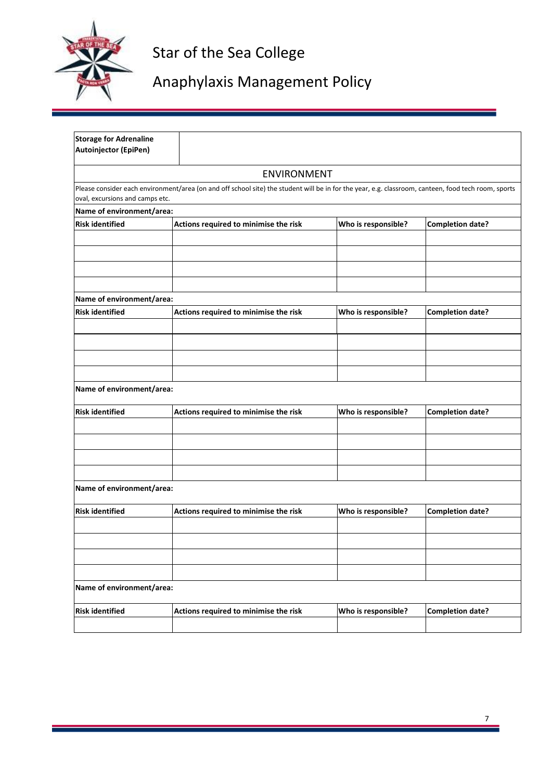

# Anaphylaxis Management Policy

| <b>Storage for Adrenaline</b><br>Autoinjector (EpiPen) |                                                                                                                                                     |                     |                         |  |
|--------------------------------------------------------|-----------------------------------------------------------------------------------------------------------------------------------------------------|---------------------|-------------------------|--|
|                                                        | <b>ENVIRONMENT</b>                                                                                                                                  |                     |                         |  |
| oval, excursions and camps etc.                        | Please consider each environment/area (on and off school site) the student will be in for the year, e.g. classroom, canteen, food tech room, sports |                     |                         |  |
| Name of environment/area:                              |                                                                                                                                                     |                     |                         |  |
| <b>Risk identified</b>                                 | Actions required to minimise the risk                                                                                                               | Who is responsible? | <b>Completion date?</b> |  |
|                                                        |                                                                                                                                                     |                     |                         |  |
|                                                        |                                                                                                                                                     |                     |                         |  |
|                                                        |                                                                                                                                                     |                     |                         |  |
| Name of environment/area:                              |                                                                                                                                                     |                     |                         |  |
| <b>Risk identified</b>                                 | Actions required to minimise the risk                                                                                                               | Who is responsible? | <b>Completion date?</b> |  |
|                                                        |                                                                                                                                                     |                     |                         |  |
|                                                        |                                                                                                                                                     |                     |                         |  |
|                                                        |                                                                                                                                                     |                     |                         |  |
|                                                        |                                                                                                                                                     |                     |                         |  |
| Name of environment/area:                              |                                                                                                                                                     |                     |                         |  |
| <b>Risk identified</b>                                 | Actions required to minimise the risk                                                                                                               | Who is responsible? | <b>Completion date?</b> |  |
|                                                        |                                                                                                                                                     |                     |                         |  |
|                                                        |                                                                                                                                                     |                     |                         |  |
|                                                        |                                                                                                                                                     |                     |                         |  |
|                                                        |                                                                                                                                                     |                     |                         |  |
| Name of environment/area:                              |                                                                                                                                                     |                     |                         |  |
| <b>Risk identified</b>                                 | Actions required to minimise the risk                                                                                                               | Who is responsible? | <b>Completion date?</b> |  |
|                                                        |                                                                                                                                                     |                     |                         |  |
|                                                        |                                                                                                                                                     |                     |                         |  |
|                                                        |                                                                                                                                                     |                     |                         |  |
|                                                        |                                                                                                                                                     |                     |                         |  |
| Name of environment/area:                              |                                                                                                                                                     |                     |                         |  |
| <b>Risk identified</b>                                 | Actions required to minimise the risk                                                                                                               | Who is responsible? | <b>Completion date?</b> |  |
|                                                        |                                                                                                                                                     |                     |                         |  |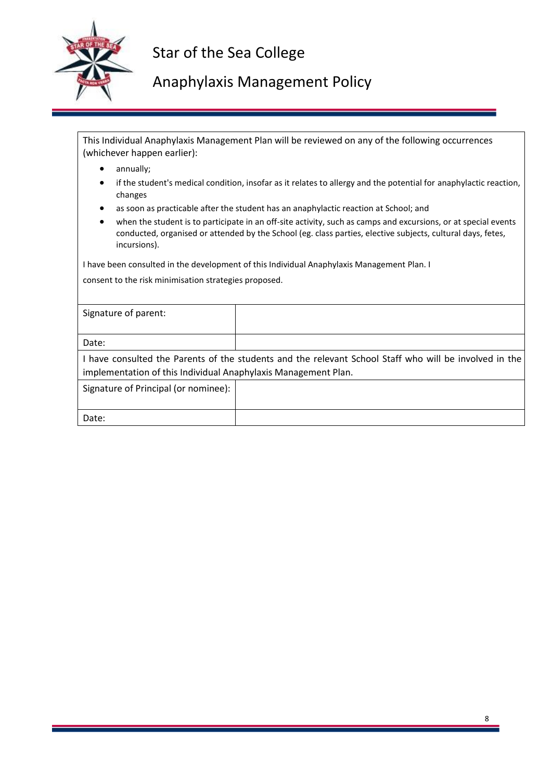

## Anaphylaxis Management Policy

This Individual Anaphylaxis Management Plan will be reviewed on any of the following occurrences (whichever happen earlier):

- annually;
- if the student's medical condition, insofar as it relates to allergy and the potential for anaphylactic reaction, changes
- as soon as practicable after the student has an anaphylactic reaction at School; and
- when the student is to participate in an off-site activity, such as camps and excursions, or at special events conducted, organised or attended by the School (eg. class parties, elective subjects, cultural days, fetes, incursions).

I have been consulted in the development of this Individual Anaphylaxis Management Plan. I

consent to the risk minimisation strategies proposed.

| Signature of parent:                                                                                                                                                     |  |  |
|--------------------------------------------------------------------------------------------------------------------------------------------------------------------------|--|--|
|                                                                                                                                                                          |  |  |
| Date:                                                                                                                                                                    |  |  |
| I have consulted the Parents of the students and the relevant School Staff who will be involved in the<br>implementation of this Individual Anaphylaxis Management Plan. |  |  |
| Signature of Principal (or nominee):                                                                                                                                     |  |  |
| Date:                                                                                                                                                                    |  |  |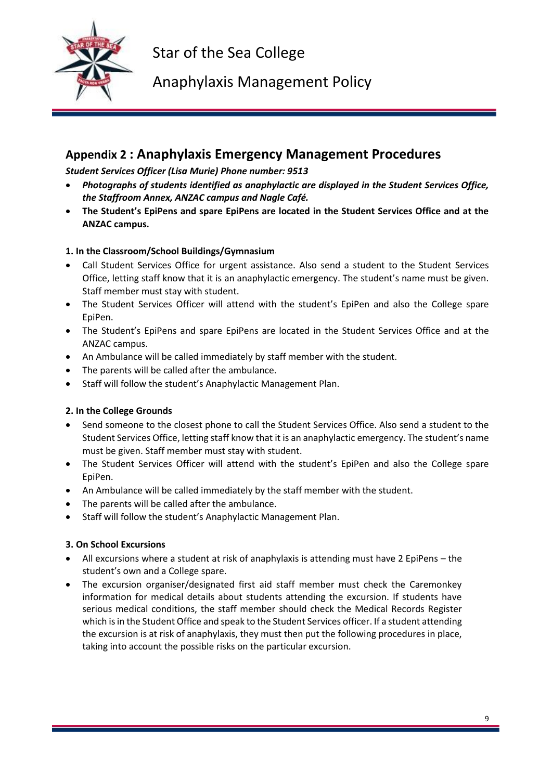

Anaphylaxis Management Policy

## **Appendix 2 : Anaphylaxis Emergency Management Procedures**

*Student Services Officer (Lisa Murie) Phone number: 9513*

- *Photographs of students identified as anaphylactic are displayed in the Student Services Office, the Staffroom Annex, ANZAC campus and Nagle Café.*
- **The Student's EpiPens and spare EpiPens are located in the Student Services Office and at the ANZAC campus.**

### **1. In the Classroom/School Buildings/Gymnasium**

- Call Student Services Office for urgent assistance. Also send a student to the Student Services Office, letting staff know that it is an anaphylactic emergency. The student's name must be given. Staff member must stay with student.
- The Student Services Officer will attend with the student's EpiPen and also the College spare EpiPen.
- The Student's EpiPens and spare EpiPens are located in the Student Services Office and at the ANZAC campus.
- An Ambulance will be called immediately by staff member with the student.
- The parents will be called after the ambulance.
- Staff will follow the student's Anaphylactic Management Plan.

### **2. In the College Grounds**

- Send someone to the closest phone to call the Student Services Office. Also send a student to the Student Services Office, letting staff know that it is an anaphylactic emergency. The student's name must be given. Staff member must stay with student.
- The Student Services Officer will attend with the student's EpiPen and also the College spare EpiPen.
- An Ambulance will be called immediately by the staff member with the student.
- The parents will be called after the ambulance.
- Staff will follow the student's Anaphylactic Management Plan.

### **3. On School Excursions**

- All excursions where a student at risk of anaphylaxis is attending must have 2 EpiPens the student's own and a College spare.
- The excursion organiser/designated first aid staff member must check the Caremonkey information for medical details about students attending the excursion. If students have serious medical conditions, the staff member should check the Medical Records Register which is in the Student Office and speak to the Student Services officer. If a student attending the excursion is at risk of anaphylaxis, they must then put the following procedures in place, taking into account the possible risks on the particular excursion.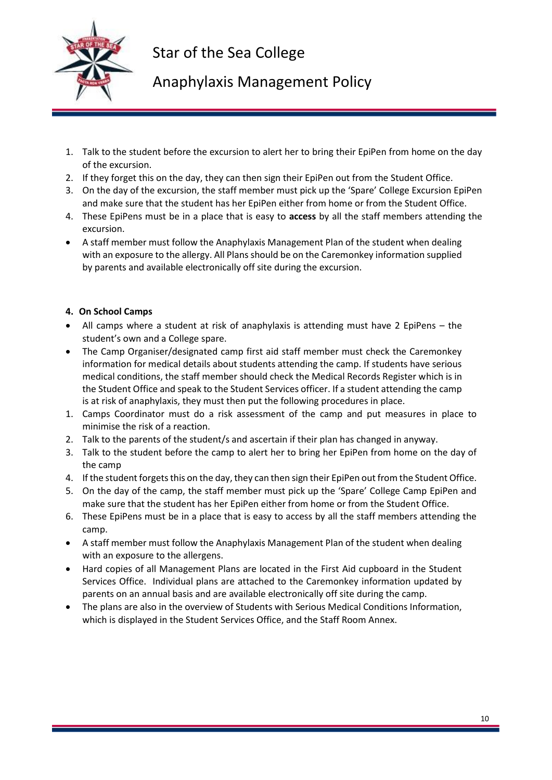

Anaphylaxis Management Policy

- 1. Talk to the student before the excursion to alert her to bring their EpiPen from home on the day of the excursion.
- 2. If they forget this on the day, they can then sign their EpiPen out from the Student Office.
- 3. On the day of the excursion, the staff member must pick up the 'Spare' College Excursion EpiPen and make sure that the student has her EpiPen either from home or from the Student Office.
- 4. These EpiPens must be in a place that is easy to **access** by all the staff members attending the excursion.
- A staff member must follow the Anaphylaxis Management Plan of the student when dealing with an exposure to the allergy. All Plans should be on the Caremonkey information supplied by parents and available electronically off site during the excursion.

### **4. On School Camps**

- All camps where a student at risk of anaphylaxis is attending must have 2 EpiPens the student's own and a College spare.
- The Camp Organiser/designated camp first aid staff member must check the Caremonkey information for medical details about students attending the camp. If students have serious medical conditions, the staff member should check the Medical Records Register which is in the Student Office and speak to the Student Services officer. If a student attending the camp is at risk of anaphylaxis, they must then put the following procedures in place.
- 1. Camps Coordinator must do a risk assessment of the camp and put measures in place to minimise the risk of a reaction.
- 2. Talk to the parents of the student/s and ascertain if their plan has changed in anyway.
- 3. Talk to the student before the camp to alert her to bring her EpiPen from home on the day of the camp
- 4. If the student forgets this on the day, they can then sign their EpiPen out from the Student Office.
- 5. On the day of the camp, the staff member must pick up the 'Spare' College Camp EpiPen and make sure that the student has her EpiPen either from home or from the Student Office.
- 6. These EpiPens must be in a place that is easy to access by all the staff members attending the camp.
- A staff member must follow the Anaphylaxis Management Plan of the student when dealing with an exposure to the allergens.
- Hard copies of all Management Plans are located in the First Aid cupboard in the Student Services Office. Individual plans are attached to the Caremonkey information updated by parents on an annual basis and are available electronically off site during the camp.
- The plans are also in the overview of Students with Serious Medical Conditions Information, which is displayed in the Student Services Office, and the Staff Room Annex.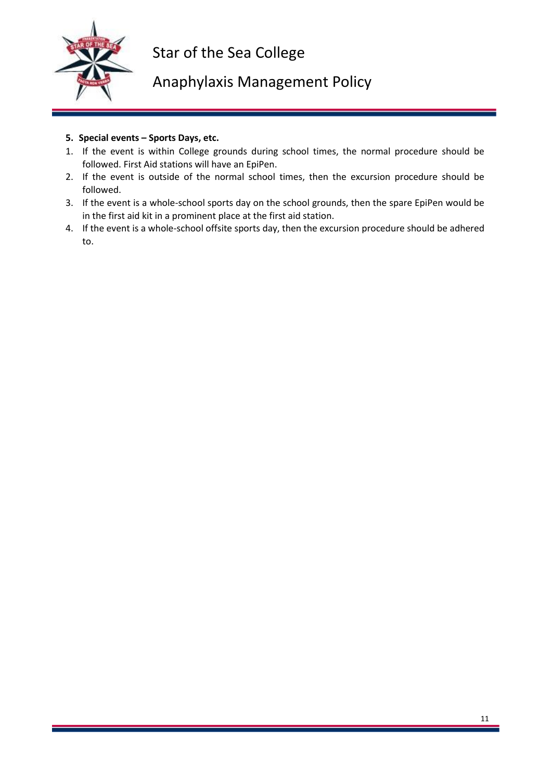



Anaphylaxis Management Policy

### **5. Special events – Sports Days, etc.**

- 1. If the event is within College grounds during school times, the normal procedure should be followed. First Aid stations will have an EpiPen.
- 2. If the event is outside of the normal school times, then the excursion procedure should be followed.
- 3. If the event is a whole-school sports day on the school grounds, then the spare EpiPen would be in the first aid kit in a prominent place at the first aid station.
- 4. If the event is a whole-school offsite sports day, then the excursion procedure should be adhered to.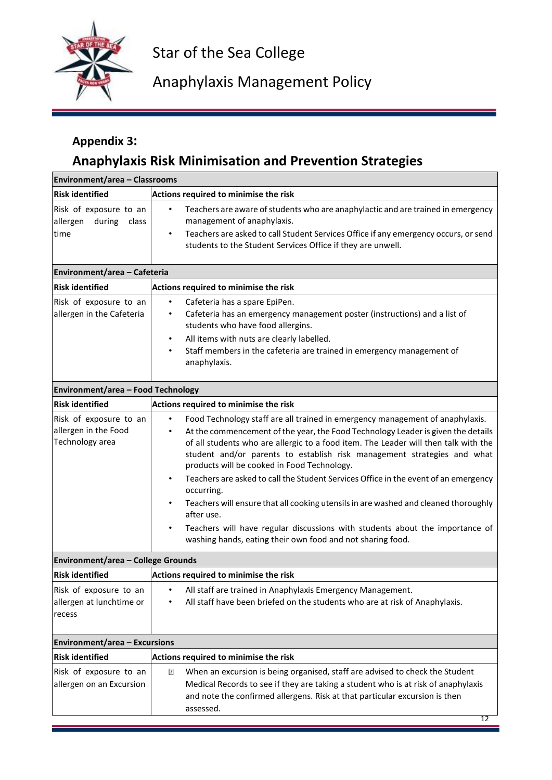

Anaphylaxis Management Policy

# **Appendix 3:**

## **Anaphylaxis Risk Minimisation and Prevention Strategies**

| Environment/area - Classrooms                                     |                                                                                                                                                                                                                                                                                                                                                                                                                                                                                                                                                                                                                                                                                                                                                                      |  |
|-------------------------------------------------------------------|----------------------------------------------------------------------------------------------------------------------------------------------------------------------------------------------------------------------------------------------------------------------------------------------------------------------------------------------------------------------------------------------------------------------------------------------------------------------------------------------------------------------------------------------------------------------------------------------------------------------------------------------------------------------------------------------------------------------------------------------------------------------|--|
| <b>Risk identified</b>                                            | Actions required to minimise the risk                                                                                                                                                                                                                                                                                                                                                                                                                                                                                                                                                                                                                                                                                                                                |  |
| Risk of exposure to an<br>allergen<br>during<br>class<br>time     | Teachers are aware of students who are anaphylactic and are trained in emergency<br>$\bullet$<br>management of anaphylaxis.<br>Teachers are asked to call Student Services Office if any emergency occurs, or send<br>$\bullet$<br>students to the Student Services Office if they are unwell.                                                                                                                                                                                                                                                                                                                                                                                                                                                                       |  |
| Environment/area - Cafeteria                                      |                                                                                                                                                                                                                                                                                                                                                                                                                                                                                                                                                                                                                                                                                                                                                                      |  |
| <b>Risk identified</b>                                            | Actions required to minimise the risk                                                                                                                                                                                                                                                                                                                                                                                                                                                                                                                                                                                                                                                                                                                                |  |
| Risk of exposure to an<br>allergen in the Cafeteria               | Cafeteria has a spare EpiPen.<br>$\bullet$<br>Cafeteria has an emergency management poster (instructions) and a list of<br>٠<br>students who have food allergins.<br>All items with nuts are clearly labelled.<br>$\bullet$<br>Staff members in the cafeteria are trained in emergency management of<br>$\bullet$<br>anaphylaxis.                                                                                                                                                                                                                                                                                                                                                                                                                                    |  |
| Environment/area - Food Technology                                |                                                                                                                                                                                                                                                                                                                                                                                                                                                                                                                                                                                                                                                                                                                                                                      |  |
| <b>Risk identified</b>                                            | Actions required to minimise the risk                                                                                                                                                                                                                                                                                                                                                                                                                                                                                                                                                                                                                                                                                                                                |  |
| Risk of exposure to an<br>allergen in the Food<br>Technology area | Food Technology staff are all trained in emergency management of anaphylaxis.<br>$\bullet$<br>At the commencement of the year, the Food Technology Leader is given the details<br>$\bullet$<br>of all students who are allergic to a food item. The Leader will then talk with the<br>student and/or parents to establish risk management strategies and what<br>products will be cooked in Food Technology.<br>Teachers are asked to call the Student Services Office in the event of an emergency<br>occurring.<br>Teachers will ensure that all cooking utensils in are washed and cleaned thoroughly<br>after use.<br>Teachers will have regular discussions with students about the importance of<br>washing hands, eating their own food and not sharing food. |  |
| Environment/area - College Grounds                                |                                                                                                                                                                                                                                                                                                                                                                                                                                                                                                                                                                                                                                                                                                                                                                      |  |
| <b>Risk identified</b>                                            | Actions required to minimise the risk                                                                                                                                                                                                                                                                                                                                                                                                                                                                                                                                                                                                                                                                                                                                |  |
| Risk of exposure to an<br>allergen at lunchtime or<br>recess      | All staff are trained in Anaphylaxis Emergency Management.<br>All staff have been briefed on the students who are at risk of Anaphylaxis.                                                                                                                                                                                                                                                                                                                                                                                                                                                                                                                                                                                                                            |  |
| <b>Environment/area - Excursions</b>                              |                                                                                                                                                                                                                                                                                                                                                                                                                                                                                                                                                                                                                                                                                                                                                                      |  |
| <b>Risk identified</b>                                            | Actions required to minimise the risk                                                                                                                                                                                                                                                                                                                                                                                                                                                                                                                                                                                                                                                                                                                                |  |
| Risk of exposure to an<br>allergen on an Excursion                | When an excursion is being organised, staff are advised to check the Student<br>"<br>Medical Records to see if they are taking a student who is at risk of anaphylaxis<br>and note the confirmed allergens. Risk at that particular excursion is then<br>assessed.<br>12                                                                                                                                                                                                                                                                                                                                                                                                                                                                                             |  |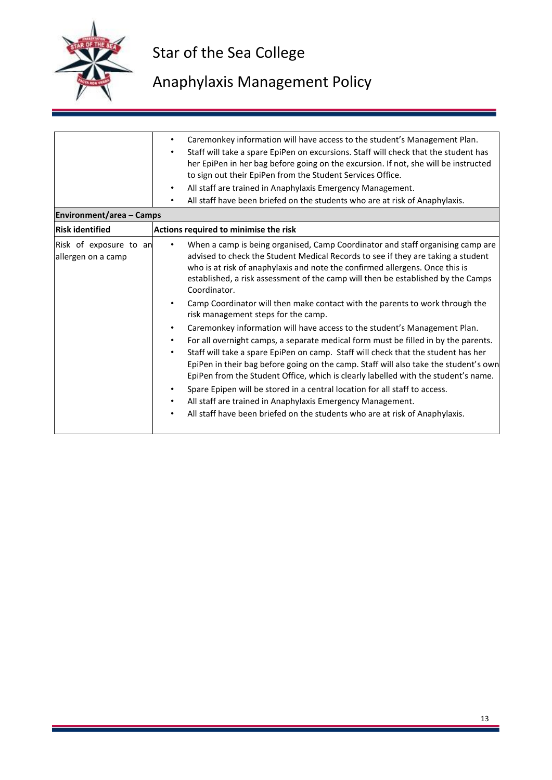

|                                              | Caremonkey information will have access to the student's Management Plan.<br>٠<br>Staff will take a spare EpiPen on excursions. Staff will check that the student has<br>her EpiPen in her bag before going on the excursion. If not, she will be instructed<br>to sign out their EpiPen from the Student Services Office.                                                                                                                                                                                                                                                                                                                                                                                                                                                                                                                                                                                                                                                                                                                                                                                                                                                                                      |
|----------------------------------------------|-----------------------------------------------------------------------------------------------------------------------------------------------------------------------------------------------------------------------------------------------------------------------------------------------------------------------------------------------------------------------------------------------------------------------------------------------------------------------------------------------------------------------------------------------------------------------------------------------------------------------------------------------------------------------------------------------------------------------------------------------------------------------------------------------------------------------------------------------------------------------------------------------------------------------------------------------------------------------------------------------------------------------------------------------------------------------------------------------------------------------------------------------------------------------------------------------------------------|
|                                              | All staff are trained in Anaphylaxis Emergency Management.<br>٠                                                                                                                                                                                                                                                                                                                                                                                                                                                                                                                                                                                                                                                                                                                                                                                                                                                                                                                                                                                                                                                                                                                                                 |
|                                              | All staff have been briefed on the students who are at risk of Anaphylaxis.                                                                                                                                                                                                                                                                                                                                                                                                                                                                                                                                                                                                                                                                                                                                                                                                                                                                                                                                                                                                                                                                                                                                     |
| Environment/area - Camps                     |                                                                                                                                                                                                                                                                                                                                                                                                                                                                                                                                                                                                                                                                                                                                                                                                                                                                                                                                                                                                                                                                                                                                                                                                                 |
| <b>Risk identified</b>                       | Actions required to minimise the risk                                                                                                                                                                                                                                                                                                                                                                                                                                                                                                                                                                                                                                                                                                                                                                                                                                                                                                                                                                                                                                                                                                                                                                           |
| Risk of exposure to an<br>allergen on a camp | When a camp is being organised, Camp Coordinator and staff organising camp are<br>advised to check the Student Medical Records to see if they are taking a student<br>who is at risk of anaphylaxis and note the confirmed allergens. Once this is<br>established, a risk assessment of the camp will then be established by the Camps<br>Coordinator.<br>Camp Coordinator will then make contact with the parents to work through the<br>risk management steps for the camp.<br>Caremonkey information will have access to the student's Management Plan.<br>$\bullet$<br>For all overnight camps, a separate medical form must be filled in by the parents.<br>$\bullet$<br>Staff will take a spare EpiPen on camp. Staff will check that the student has her<br>$\bullet$<br>EpiPen in their bag before going on the camp. Staff will also take the student's own<br>EpiPen from the Student Office, which is clearly labelled with the student's name.<br>Spare Epipen will be stored in a central location for all staff to access.<br>All staff are trained in Anaphylaxis Emergency Management.<br>$\bullet$<br>All staff have been briefed on the students who are at risk of Anaphylaxis.<br>$\bullet$ |